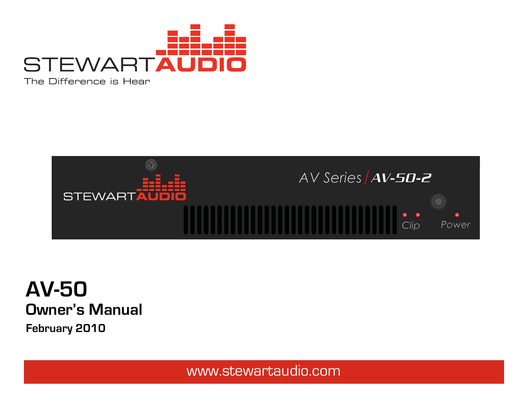

The Difference is Hear





www.stewartaudio.com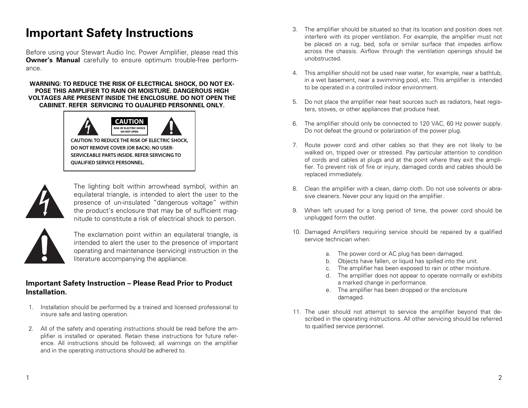# **Important Safety Instructions**

**QUALIFIED SERVICE PERSONNEL.**

Before using your Stewart Audio Inc. Power Amplifier, please read this **Owner's Manual** carefully to ensure optimum trouble-free performance.

#### **WARNING: TO REDUCE THE RISK OF ELECTRICAL SHOCK, DO NOT EX-POSE THIS AMPLIFIER TO RAIN OR MOISTURE. DANGEROUS HIGH VOLTAGES ARE PRESENT INSIDE THE ENCLOSURE. DO NOT OPEN THE CABINET. REFER SERVICING TO QUALIFIED PERSONNEL ONLY.**





The lighting bolt within arrowhead symbol, within an equilateral triangle, is intended to alert the user to the presence of un-insulated "dangerous voltage" within the product's enclosure that may be of sufficient magnitude to constitute a risk of electrical shock to person.



The exclamation point within an equilateral triangle, is intended to alert the user to the presence of important operating and maintenance (servicing) instruction in the literature accompanying the appliance.

### **Important Safety Instruction – Please Read Prior to Product Installation.**

- 1. Installation should be performed by a trained and licensed professional to insure safe and lasting operation.
- 2. All of the safety and operating instructions should be read before the amplifier is installed or operated. Retain these instructions for future reference. All instructions should be followed; all warnings on the amplifier and in the operating instructions should be adhered to.
- 3. The amplifier should be situated so that its location and position does not interfere with its proper ventilation. For example, the amplifier must not be placed on a rug, bed, sofa or similar surface that impedes airflow across the chassis. Airflow through the ventilation openings should be unobstructed.
- 4. This amplifier should not be used near water, for example, near a bathtub, in a wet basement, near a swimming pool, etc. This amplifier is intended to be operated in a controlled indoor environment.
- 5. Do not place the amplifier near heat sources such as radiators, heat registers, stoves, or other appliances that produce heat.
- 6. The amplifier should only be connected to 120 VAC, 60 Hz power supply. Do not defeat the ground or polarization of the power plug.
- 7. Route power cord and other cables so that they are not likely to be walked on, tripped over or stressed. Pay particular attention to condition of cords and cables at plugs and at the point where they exit the amplifier. To prevent risk of fire or injury, damaged cords and cables should be replaced immediately.
- 8. Clean the amplifier with a clean, damp cloth. Do not use solvents or abrasive cleaners. Never pour any liquid on the amplifier.
- 9. When left unused for a long period of time, the power cord should be unplugged form the outlet.
- 10. Damaged Amplifiers requiring service should be repaired by a qualified service technician when:
	- a. The power cord or AC plug has been damaged.
	- b. Objects have fallen, or liquid has spilled into the unit.
	- c. The amplifier has been exposed to rain or other moisture.
	- d. The amplifier does not appear to operate normally or exhibits a marked change in performance.
	- e. The amplifier has been dropped or the enclosure damaged.
- 11. The user should not attempt to service the amplifier beyond that described in the operating instructions. All other servicing should be referred to qualified service personnel.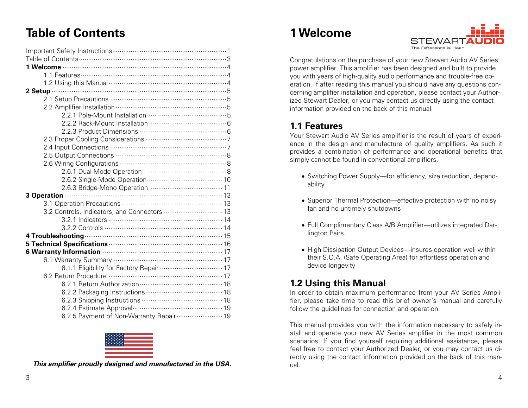# **Table of Contents**

| 3.2 Controls, Indicators, and Connectors  13                              |
|---------------------------------------------------------------------------|
|                                                                           |
|                                                                           |
| 4 Troubleshooting <b>contract to the Contract of Troubleshooting</b> 15   |
| 5 Technical Specifications <b>Manufacture 16</b>                          |
| 6 Warranty Information <b>Martin According to Warranty Information</b> 17 |
|                                                                           |
| 6.1.1 Eligibility for Factory Repair  17                                  |
|                                                                           |
|                                                                           |
|                                                                           |
|                                                                           |
|                                                                           |
| 6.2.5 Payment of Non-Warranty Repair  19                                  |



**This amplifier proudly designed and manufactured in the USA.** 

# **1 Welcome**



Congratulations on the purchase of your new Stewart Audio AV Series power amplifier. This amplifier has been designed and built to provide you with years of high-quality audio performance and trouble-free operation. If after reading this manual you should have any questions concerning amplifier installation and operation, please contact your Authorized Stewart Dealer, or you may contact us directly using the contact information provided on the back of this manual.

## **1.1 Features**

Your Stewart Audio AV Series amplifier is the result of years of experience in the design and manufacture of quality amplifiers. As such it provides a combination of performance and operational benefits that simply cannot be found in conventional amplifiers.

- Switching Power Supply—for efficiency, size reduction, dependability
- Superior Thermal Protection—effective protection with no noisy fan and no untimely shutdowns
- Full Complimentary Class A/B Amplifier—utilizes integrated Darlington Pairs.
- High Dissipation Output Devices—insures operation well within their S.O.A. (Safe Operating Area) for effortless operation and device longevity

## **1.2 Using this Manual**

In order to obtain maximum performance from your AV Series Amplifier, please take time to read this brief owner's manual and carefully follow the guidelines for connection and operation.

This manual provides you with the information necessary to safely install and operate your new AV Series amplifier in the most common scenarios. If you find yourself requiring additional assistance, please feel free to contact your Authorized Dealer, or you may contact us directly using the contact information provided on the back of this manual.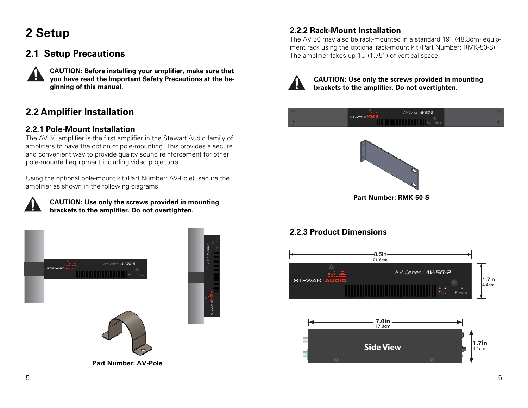# **2 Setup**

# **2.1 Setup Precautions**



**CAUTION: Before installing your amplifier, make sure that you have read the Important Safety Precautions at the beginning of this manual.** 

# **2.2 Amplifier Installation**

### **2.2.1 Pole-Mount Installation**

The AV 50 amplifier is the first amplifier in the Stewart Audio family of amplifiers to have the option of pole-mounting. This provides a secure and convenient way to provide quality sound reinforcement for other pole-mounted equipment including video projectors.

Using the optional pole-mount kit (Part Number: AV-Pole), secure the amplifier as shown in the following diagrams.



#### **CAUTION: Use only the screws provided in mounting brackets to the amplifier. Do not overtighten.**



**Part Number: AV-Pole** 



The AV 50 may also be rack-mounted in a standard 19" (48.3cm) equipment rack using the optional rack-mount kit (Part Number: RMK-50-S). The amplifier takes up 1U (1.75") of vertical space.



**CAUTION: Use only the screws provided in mounting brackets to the amplifier. Do not overtighten.** 





## **2.2.3 Product Dimensions**

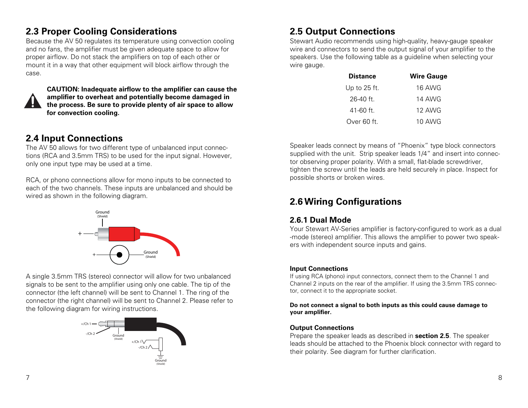## **2.3 Proper Cooling Considerations**

Because the AV 50 regulates its temperature using convection cooling and no fans, the amplifier must be given adequate space to allow for proper airflow. Do not stack the amplifiers on top of each other or mount it in a way that other equipment will block airflow through the case.



**CAUTION: Inadequate airflow to the amplifier can cause the amplifier to overheat and potentially become damaged in the process. Be sure to provide plenty of air space to allow for convection cooling.** 

# **2.4 Input Connections**

The AV 50 allows for two different type of unbalanced input connections (RCA and 3.5mm TRS) to be used for the input signal. However, only one input type may be used at a time.

RCA, or phono connections allow for mono inputs to be connected to each of the two channels. These inputs are unbalanced and should be wired as shown in the following diagram.



A single 3.5mm TRS (stereo) connector will allow for two unbalanced signals to be sent to the amplifier using only one cable. The tip of the connector (the left channel) will be sent to Channel 1. The ring of the connector (the right channel) will be sent to Channel 2. Please refer to the following diagram for wiring instructions.



# **2.5 Output Connections**

Stewart Audio recommends using high-quality, heavy-gauge speaker wire and connectors to send the output signal of your amplifier to the speakers. Use the following table as a guideline when selecting your wire gauge.

| <b>Distance</b> | <b>Wire Gauge</b> |
|-----------------|-------------------|
| Up to $25$ ft.  | 16 AWG            |
| 26-40 ft.       | 14 AWG            |
| $41 - 60$ ft.   | 12 AWG            |
| Over 60 ft.     | 10 AWG            |

Speaker leads connect by means of "Phoenix" type block connectors supplied with the unit. Strip speaker leads 1/4" and insert into connector observing proper polarity. With a small, flat-blade screwdriver, tighten the screw until the leads are held securely in place. Inspect for possible shorts or broken wires.

# **2.6 Wiring Configurations**

### **2.6.1 Dual Mode**

Your Stewart AV-Series amplifier is factory-configured to work as a dual -mode (stereo) amplifier. This allows the amplifier to power two speakers with independent source inputs and gains.

#### **Input Connections**

If using RCA (phono) input connectors, connect them to the Channel 1 and Channel 2 inputs on the rear of the amplifier. If using the 3.5mm TRS connector, connect it to the appropriate socket.

#### **Do not connect a signal to both inputs as this could cause damage to your amplifier.**

#### **Output Connections**

Prepare the speaker leads as described in **section 2.5**. The speaker leads should be attached to the Phoenix block connector with regard to their polarity. See diagram for further clarification.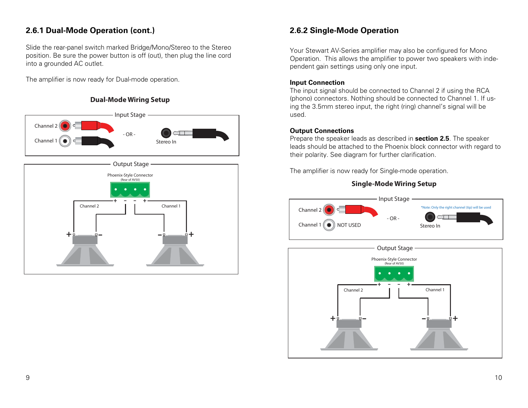### **2.6.1 Dual-Mode Operation (cont.)**

Slide the rear-panel switch marked Bridge/Mono/Stereo to the Stereo position. Be sure the power button is off (out), then plug the line cord into a grounded AC outlet.

The amplifier is now ready for Dual-mode operation.

#### **Dual-Mode Wiring Setup**





### **2.6.2 Single-Mode Operation**

Your Stewart AV-Series amplifier may also be configured for Mono Operation. This allows the amplifier to power two speakers with independent gain settings using only one input.

#### **Input Connection**

The input signal should be connected to Channel 2 if using the RCA (phono) connectors. Nothing should be connected to Channel 1. If using the 3.5mm stereo input, the right (ring) channel's signal will be used.

#### **Output Connections**

Prepare the speaker leads as described in **section 2.5**. The speaker leads should be attached to the Phoenix block connector with regard to their polarity. See diagram for further clarification.

The amplifier is now ready for Single-mode operation.

#### **Single-Mode Wiring Setup**



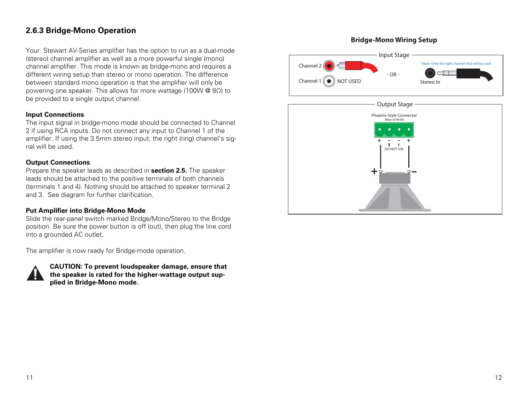### **2.6.3 Bridge-Mono Operation**

Your Stewart AV-Series amplifier has the option to run as a dual-mode (stereo) channel amplifier as well as a more powerful single (mono) channel amplifier. This mode is known as bridge-mono and requires a different wiring setup than stereo or mono operation. The difference between standard mono operation is that the amplifier will only be powering one speaker. This allows for more wattage (100W @ 8Ω) to be provided to a single output channel.

#### **Input Connections**

The input signal in bridge-mono mode should be connected to Channel 2 if using RCA inputs. Do not connect any input to Channel 1 of the amplifier. If using the 3.5mm stereo input, the right (ring) channel's signal will be used.

#### **Output Connections**

Prepare the speaker leads as described in **section 2.5.** The speaker leads should be attached to the positive terminals of both channels (terminals 1 and 4). Nothing should be attached to speaker terminal 2 and 3. See diagram for further clarification.

#### **Put Amplifier into Bridge-Mono Mode**

Slide the rear-panel switch marked Bridge/Mono/Stereo to the Bridge position. Be sure the power button is off (out), then plug the line cord into a grounded AC outlet.

The amplifier is now ready for Bridge-mode operation.



**CAUTION: To prevent loudspeaker damage, ensure that the speaker is rated for the higher-wattage output supplied in Bridge-Mono mode.** 

#### **Bridge-Mono Wiring Setup**



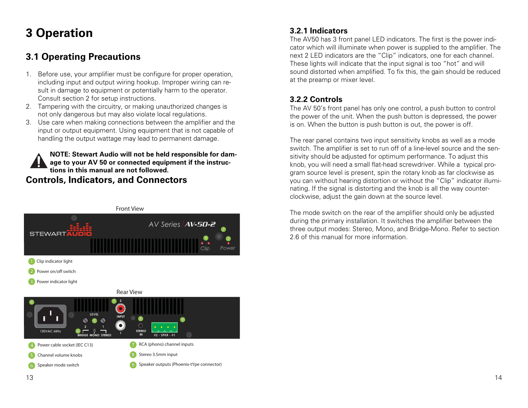# **3 Operation**

# **3.1 Operating Precautions**

- 1. Before use, your amplifier must be configure for proper operation, including input and output wiring hookup. Improper wiring can result in damage to equipment or potentially harm to the operator. Consult section 2 for setup instructions.
- 2. Tampering with the circuitry, or making unauthorized changes is not only dangerous but may also violate local regulations.
- 3. Use care when making connections between the amplifier and the input or output equipment. Using equipment that is not capable of handling the output wattage may lead to permanent damage.

**NOTE: Stewart Audio will not be held responsible for damage to your AV 50 or connected equipment if the instructions in this manual are not followed. Controls, Indicators, and Connectors** 



## **3.2.1 Indicators**

The AV50 has 3 front panel LED indicators. The first is the power indicator which will illuminate when power is supplied to the amplifier. The next 2 LED indicators are the "Clip" indicators, one for each channel. These lights will indicate that the input signal is too "hot" and will sound distorted when amplified. To fix this, the gain should be reduced at the preamp or mixer level.

### **3.2.2 Controls**

The AV 50's front panel has only one control, a push button to control the power of the unit. When the push button is depressed, the power is on. When the button is push button is out, the power is off.

The rear panel contains two input sensitivity knobs as well as a mode switch. The amplifier is set to run off of a line-level source and the sensitivity should be adjusted for optimum performance. To adjust this knob, you will need a small flat-head screwdriver. While a typical program source level is present, spin the rotary knob as far clockwise as you can without hearing distortion or without the "Clip" indicator illuminating. If the signal is distorting and the knob is all the way counterclockwise, adjust the gain down at the source level.

The mode switch on the rear of the amplifier should only be adjusted during the primary installation. It switches the amplifier between the three output modes: Stereo, Mono, and Bridge-Mono. Refer to section 2.6 of this manual for more information.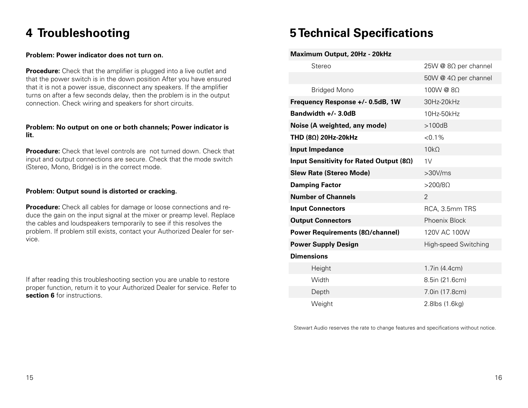# **4 Troubleshooting**

#### **Problem: Power indicator does not turn on.**

**Procedure:** Check that the amplifier is plugged into a live outlet and that the power switch is in the down position After you have ensured that it is not a power issue, disconnect any speakers. If the amplifier turns on after a few seconds delay, then the problem is in the output connection. Check wiring and speakers for short circuits.

#### **Problem: No output on one or both channels; Power indicator is lit.**

**Procedure:** Check that level controls are not turned down. Check that input and output connections are secure. Check that the mode switch (Stereo, Mono, Bridge) is in the correct mode.

#### **Problem: Output sound is distorted or cracking.**

**Procedure:** Check all cables for damage or loose connections and reduce the gain on the input signal at the mixer or preamp level. Replace the cables and loudspeakers temporarily to see if this resolves the problem. If problem still exists, contact your Authorized Dealer for service.

If after reading this troubleshooting section you are unable to restore proper function, return it to your Authorized Dealer for service. Refer to **section 6** for instructions.

# **5 Technical Specifications**

| Maximum Output, 20Hz - 20kHz                     |                             |
|--------------------------------------------------|-----------------------------|
| Stereo                                           | 25W @ 8Ω per channel        |
|                                                  | 50W @ $4\Omega$ per channel |
| <b>Bridged Mono</b>                              | 100W @ 8Ω                   |
| Frequency Response +/- 0.5dB, 1W                 | 30Hz-20kHz                  |
| Bandwidth +/- 3.0dB                              | 10Hz-50kHz                  |
| Noise (A weighted, any mode)                     | >100dB                      |
| THD $(8\Omega)$ 20Hz-20kHz                       | $< 0.1\%$                   |
| <b>Input Impedance</b>                           | $10k\Omega$                 |
| Input Sensitivity for Rated Output (8 $\Omega$ ) | 1V                          |
| <b>Slew Rate (Stereo Mode)</b>                   | >30V/ms                     |
| <b>Damping Factor</b>                            | $>200/8\Omega$              |
| <b>Number of Channels</b>                        | 2                           |
|                                                  |                             |
| <b>Input Connectors</b>                          | RCA, 3.5mm TRS              |
| <b>Output Connectors</b>                         | <b>Phoenix Block</b>        |
| Power Requirements (8Ω/channel)                  | 120V AC 100W                |
| <b>Power Supply Design</b>                       | High-speed Switching        |
| <b>Dimensions</b>                                |                             |
| Height                                           | 1.7in (4.4cm)               |
| Width                                            | 8.5in (21.6cm)              |
| Depth                                            | 7.0in (17.8cm)              |

Stewart Audio reserves the rate to change features and specifications without notice.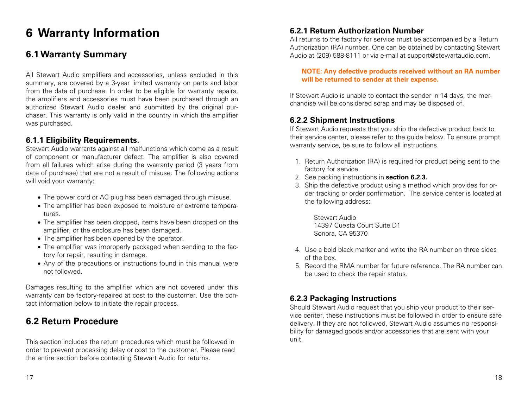# **6 Warranty Information**

## **6.1 Warranty Summary**

All Stewart Audio amplifiers and accessories, unless excluded in this summary, are covered by a 3-year limited warranty on parts and labor from the data of purchase. In order to be eligible for warranty repairs, the amplifiers and accessories must have been purchased through an authorized Stewart Audio dealer and submitted by the original purchaser. This warranty is only valid in the country in which the amplifier was purchased.

### **6.1.1 Eligibility Requirements.**

Stewart Audio warrants against all malfunctions which come as a result of component or manufacturer defect. The amplifier is also covered from all failures which arise during the warranty period (3 years from date of purchase) that are not a result of misuse. The following actions will void your warranty:

- The power cord or AC plug has been damaged through misuse.
- The amplifier has been exposed to moisture or extreme temperatures.
- The amplifier has been dropped, items have been dropped on the amplifier, or the enclosure has been damaged.
- The amplifier has been opened by the operator.
- The amplifier was improperly packaged when sending to the factory for repair, resulting in damage.
- Any of the precautions or instructions found in this manual were not followed.

Damages resulting to the amplifier which are not covered under this warranty can be factory-repaired at cost to the customer. Use the contact information below to initiate the repair process.

# **6.2 Return Procedure**

This section includes the return procedures which must be followed in order to prevent processing delay or cost to the customer. Please read the entire section before contacting Stewart Audio for returns.

### **6.2.1 Return Authorization Number**

All returns to the factory for service must be accompanied by a Return Authorization (RA) number. One can be obtained by contacting Stewart Audio at (209) 588-8111 or via e-mail at support@stewartaudio.com.

#### **NOTE: Any defective products received without an RA number will be returned to sender at their expense.**

If Stewart Audio is unable to contact the sender in 14 days, the merchandise will be considered scrap and may be disposed of.

### **6.2.2 Shipment Instructions**

If Stewart Audio requests that you ship the defective product back to their service center, please refer to the guide below. To ensure prompt warranty service, be sure to follow all instructions.

- 1. Return Authorization (RA) is required for product being sent to the factory for service.
- 2. See packing instructions in **section 6.2.3.**
- 3. Ship the defective product using a method which provides for order tracking or order confirmation. The service center is located at the following address:

Stewart Audio 14397 Cuesta Court Suite D1 Sonora, CA 95370

- 4. Use a bold black marker and write the RA number on three sides of the box.
- 5. Record the RMA number for future reference. The RA number can be used to check the repair status.

## **6.2.3 Packaging Instructions**

Should Stewart Audio request that you ship your product to their service center, these instructions must be followed in order to ensure safe delivery. If they are not followed, Stewart Audio assumes no responsibility for damaged goods and/or accessories that are sent with your unit.